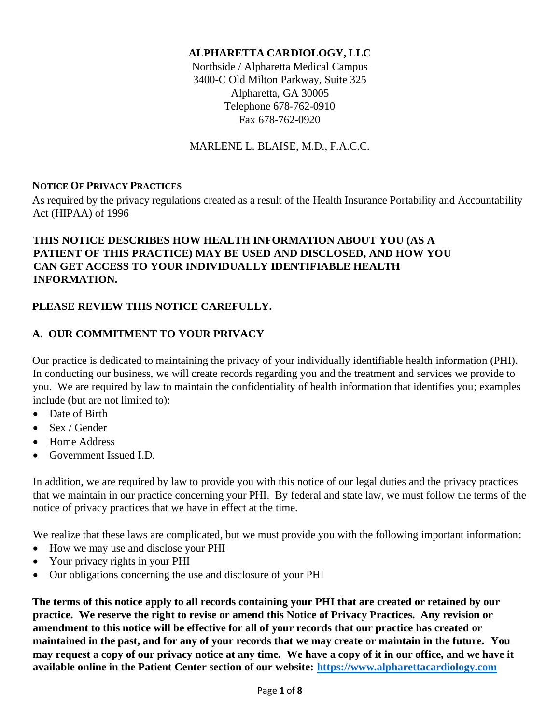#### **ALPHARETTA CARDIOLOGY, LLC**

Northside / Alpharetta Medical Campus 3400-C Old Milton Parkway, Suite 325 Alpharetta, GA 30005 Telephone 678-762-0910 Fax 678-762-0920

MARLENE L. BLAISE, M.D., F.A.C.C.

#### **NOTICE OF PRIVACY PRACTICES**

As required by the privacy regulations created as a result of the Health Insurance Portability and Accountability Act (HIPAA) of 1996

### **THIS NOTICE DESCRIBES HOW HEALTH INFORMATION ABOUT YOU (AS A PATIENT OF THIS PRACTICE) MAY BE USED AND DISCLOSED, AND HOW YOU CAN GET ACCESS TO YOUR INDIVIDUALLY IDENTIFIABLE HEALTH INFORMATION.**

#### **PLEASE REVIEW THIS NOTICE CAREFULLY.**

#### **A. OUR COMMITMENT TO YOUR PRIVACY**

Our practice is dedicated to maintaining the privacy of your individually identifiable health information (PHI). In conducting our business, we will create records regarding you and the treatment and services we provide to you. We are required by law to maintain the confidentiality of health information that identifies you; examples include (but are not limited to):

- Date of Birth
- Sex / Gender
- Home Address
- Government Issued I.D.

In addition, we are required by law to provide you with this notice of our legal duties and the privacy practices that we maintain in our practice concerning your PHI. By federal and state law, we must follow the terms of the notice of privacy practices that we have in effect at the time.

We realize that these laws are complicated, but we must provide you with the following important information:

- How we may use and disclose your PHI
- Your privacy rights in your PHI
- Our obligations concerning the use and disclosure of your PHI

**The terms of this notice apply to all records containing your PHI that are created or retained by our practice. We reserve the right to revise or amend this Notice of Privacy Practices. Any revision or amendment to this notice will be effective for all of your records that our practice has created or maintained in the past, and for any of your records that we may create or maintain in the future. You may request a copy of our privacy notice at any time. We have a copy of it in our office, and we have it available online in the Patient Center section of our website: [https://www.alpharettacardiology.com](https://www.alpharettacardiology.com/)**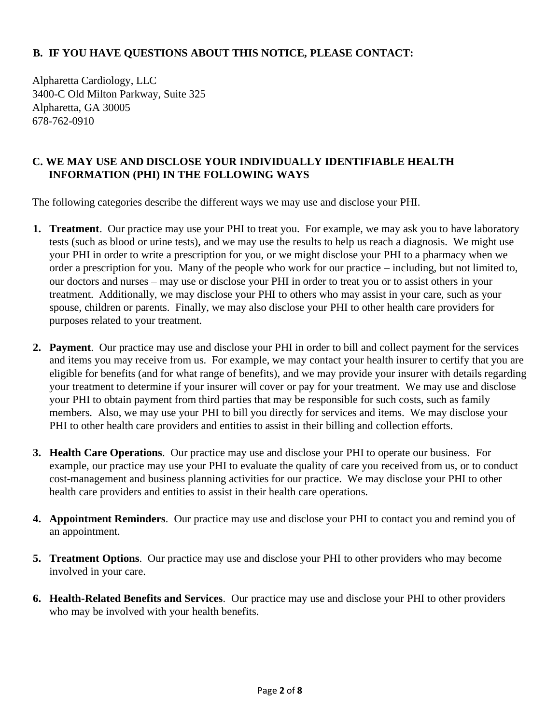## **B. IF YOU HAVE QUESTIONS ABOUT THIS NOTICE, PLEASE CONTACT:**

Alpharetta Cardiology, LLC 3400-C Old Milton Parkway, Suite 325 Alpharetta, GA 30005 678-762-0910

### **C. WE MAY USE AND DISCLOSE YOUR INDIVIDUALLY IDENTIFIABLE HEALTH INFORMATION (PHI) IN THE FOLLOWING WAYS**

The following categories describe the different ways we may use and disclose your PHI.

- **1. Treatment**. Our practice may use your PHI to treat you. For example, we may ask you to have laboratory tests (such as blood or urine tests), and we may use the results to help us reach a diagnosis. We might use your PHI in order to write a prescription for you, or we might disclose your PHI to a pharmacy when we order a prescription for you. Many of the people who work for our practice – including, but not limited to, our doctors and nurses – may use or disclose your PHI in order to treat you or to assist others in your treatment. Additionally, we may disclose your PHI to others who may assist in your care, such as your spouse, children or parents. Finally, we may also disclose your PHI to other health care providers for purposes related to your treatment.
- **2. Payment**. Our practice may use and disclose your PHI in order to bill and collect payment for the services and items you may receive from us. For example, we may contact your health insurer to certify that you are eligible for benefits (and for what range of benefits), and we may provide your insurer with details regarding your treatment to determine if your insurer will cover or pay for your treatment. We may use and disclose your PHI to obtain payment from third parties that may be responsible for such costs, such as family members. Also, we may use your PHI to bill you directly for services and items. We may disclose your PHI to other health care providers and entities to assist in their billing and collection efforts.
- **3. Health Care Operations**. Our practice may use and disclose your PHI to operate our business. For example, our practice may use your PHI to evaluate the quality of care you received from us, or to conduct cost-management and business planning activities for our practice. We may disclose your PHI to other health care providers and entities to assist in their health care operations.
- **4. Appointment Reminders**. Our practice may use and disclose your PHI to contact you and remind you of an appointment.
- **5. Treatment Options**. Our practice may use and disclose your PHI to other providers who may become involved in your care.
- **6. Health-Related Benefits and Services**. Our practice may use and disclose your PHI to other providers who may be involved with your health benefits.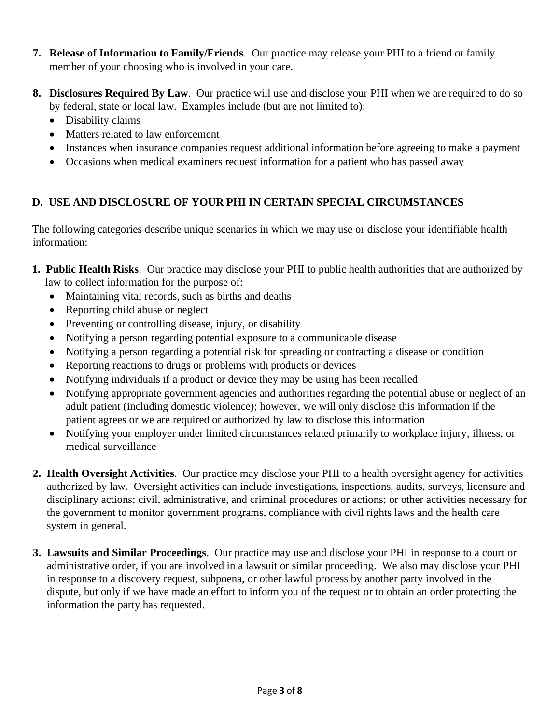- **7. Release of Information to Family/Friends**. Our practice may release your PHI to a friend or family member of your choosing who is involved in your care.
- **8. Disclosures Required By Law**. Our practice will use and disclose your PHI when we are required to do so by federal, state or local law. Examples include (but are not limited to):
	- Disability claims
	- Matters related to law enforcement
	- Instances when insurance companies request additional information before agreeing to make a payment
	- Occasions when medical examiners request information for a patient who has passed away

# **D. USE AND DISCLOSURE OF YOUR PHI IN CERTAIN SPECIAL CIRCUMSTANCES**

The following categories describe unique scenarios in which we may use or disclose your identifiable health information:

- **1. Public Health Risks**. Our practice may disclose your PHI to public health authorities that are authorized by law to collect information for the purpose of:
	- Maintaining vital records, such as births and deaths
	- Reporting child abuse or neglect
	- Preventing or controlling disease, injury, or disability
	- Notifying a person regarding potential exposure to a communicable disease
	- Notifying a person regarding a potential risk for spreading or contracting a disease or condition
	- Reporting reactions to drugs or problems with products or devices
	- Notifying individuals if a product or device they may be using has been recalled
	- Notifying appropriate government agencies and authorities regarding the potential abuse or neglect of an adult patient (including domestic violence); however, we will only disclose this information if the patient agrees or we are required or authorized by law to disclose this information
	- Notifying your employer under limited circumstances related primarily to workplace injury, illness, or medical surveillance
- **2. Health Oversight Activities**. Our practice may disclose your PHI to a health oversight agency for activities authorized by law. Oversight activities can include investigations, inspections, audits, surveys, licensure and disciplinary actions; civil, administrative, and criminal procedures or actions; or other activities necessary for the government to monitor government programs, compliance with civil rights laws and the health care system in general.
- **3. Lawsuits and Similar Proceedings**. Our practice may use and disclose your PHI in response to a court or administrative order, if you are involved in a lawsuit or similar proceeding. We also may disclose your PHI in response to a discovery request, subpoena, or other lawful process by another party involved in the dispute, but only if we have made an effort to inform you of the request or to obtain an order protecting the information the party has requested.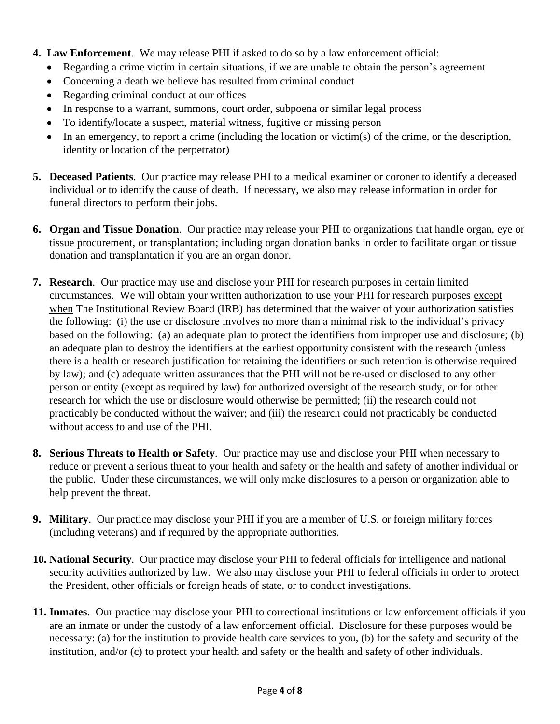- **4. Law Enforcement**. We may release PHI if asked to do so by a law enforcement official:
	- Regarding a crime victim in certain situations, if we are unable to obtain the person's agreement
	- Concerning a death we believe has resulted from criminal conduct
	- Regarding criminal conduct at our offices
	- In response to a warrant, summons, court order, subpoena or similar legal process
	- To identify/locate a suspect, material witness, fugitive or missing person
	- In an emergency, to report a crime (including the location or victim(s) of the crime, or the description, identity or location of the perpetrator)
- **5. Deceased Patients**. Our practice may release PHI to a medical examiner or coroner to identify a deceased individual or to identify the cause of death. If necessary, we also may release information in order for funeral directors to perform their jobs.
- **6. Organ and Tissue Donation**. Our practice may release your PHI to organizations that handle organ, eye or tissue procurement, or transplantation; including organ donation banks in order to facilitate organ or tissue donation and transplantation if you are an organ donor.
- **7. Research**. Our practice may use and disclose your PHI for research purposes in certain limited circumstances. We will obtain your written authorization to use your PHI for research purposes except when The Institutional Review Board (IRB) has determined that the waiver of your authorization satisfies the following: (i) the use or disclosure involves no more than a minimal risk to the individual's privacy based on the following: (a) an adequate plan to protect the identifiers from improper use and disclosure; (b) an adequate plan to destroy the identifiers at the earliest opportunity consistent with the research (unless there is a health or research justification for retaining the identifiers or such retention is otherwise required by law); and (c) adequate written assurances that the PHI will not be re-used or disclosed to any other person or entity (except as required by law) for authorized oversight of the research study, or for other research for which the use or disclosure would otherwise be permitted; (ii) the research could not practicably be conducted without the waiver; and (iii) the research could not practicably be conducted without access to and use of the PHI.
- **8. Serious Threats to Health or Safety**. Our practice may use and disclose your PHI when necessary to reduce or prevent a serious threat to your health and safety or the health and safety of another individual or the public. Under these circumstances, we will only make disclosures to a person or organization able to help prevent the threat.
- **9. Military**. Our practice may disclose your PHI if you are a member of U.S. or foreign military forces (including veterans) and if required by the appropriate authorities.
- **10. National Security**. Our practice may disclose your PHI to federal officials for intelligence and national security activities authorized by law. We also may disclose your PHI to federal officials in order to protect the President, other officials or foreign heads of state, or to conduct investigations.
- **11. Inmates**. Our practice may disclose your PHI to correctional institutions or law enforcement officials if you are an inmate or under the custody of a law enforcement official. Disclosure for these purposes would be necessary: (a) for the institution to provide health care services to you, (b) for the safety and security of the institution, and/or (c) to protect your health and safety or the health and safety of other individuals.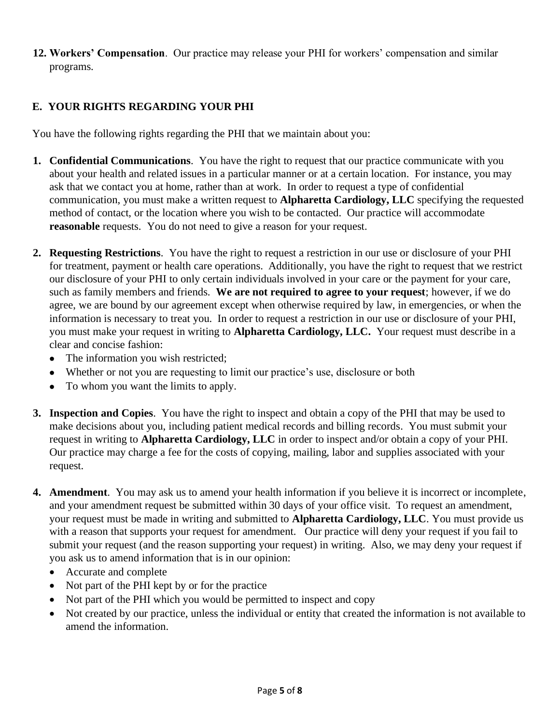**12. Workers' Compensation**. Our practice may release your PHI for workers' compensation and similar programs.

# **E. YOUR RIGHTS REGARDING YOUR PHI**

You have the following rights regarding the PHI that we maintain about you:

- **1. Confidential Communications**. You have the right to request that our practice communicate with you about your health and related issues in a particular manner or at a certain location. For instance, you may ask that we contact you at home, rather than at work. In order to request a type of confidential communication, you must make a written request to **Alpharetta Cardiology, LLC** specifying the requested method of contact, or the location where you wish to be contacted. Our practice will accommodate **reasonable** requests. You do not need to give a reason for your request.
- **2. Requesting Restrictions**. You have the right to request a restriction in our use or disclosure of your PHI for treatment, payment or health care operations. Additionally, you have the right to request that we restrict our disclosure of your PHI to only certain individuals involved in your care or the payment for your care, such as family members and friends. **We are not required to agree to your request**; however, if we do agree, we are bound by our agreement except when otherwise required by law, in emergencies, or when the information is necessary to treat you. In order to request a restriction in our use or disclosure of your PHI, you must make your request in writing to **Alpharetta Cardiology, LLC.** Your request must describe in a clear and concise fashion:
	- The information you wish restricted;
	- Whether or not you are requesting to limit our practice's use, disclosure or both
	- To whom you want the limits to apply.
- **3. Inspection and Copies**. You have the right to inspect and obtain a copy of the PHI that may be used to make decisions about you, including patient medical records and billing records. You must submit your request in writing to **Alpharetta Cardiology, LLC** in order to inspect and/or obtain a copy of your PHI. Our practice may charge a fee for the costs of copying, mailing, labor and supplies associated with your request.
- **4. Amendment**. You may ask us to amend your health information if you believe it is incorrect or incomplete, and your amendment request be submitted within 30 days of your office visit. To request an amendment, your request must be made in writing and submitted to **Alpharetta Cardiology, LLC**. You must provide us with a reason that supports your request for amendment. Our practice will deny your request if you fail to submit your request (and the reason supporting your request) in writing. Also, we may deny your request if you ask us to amend information that is in our opinion:
	- Accurate and complete
	- Not part of the PHI kept by or for the practice
	- Not part of the PHI which you would be permitted to inspect and copy
	- Not created by our practice, unless the individual or entity that created the information is not available to amend the information.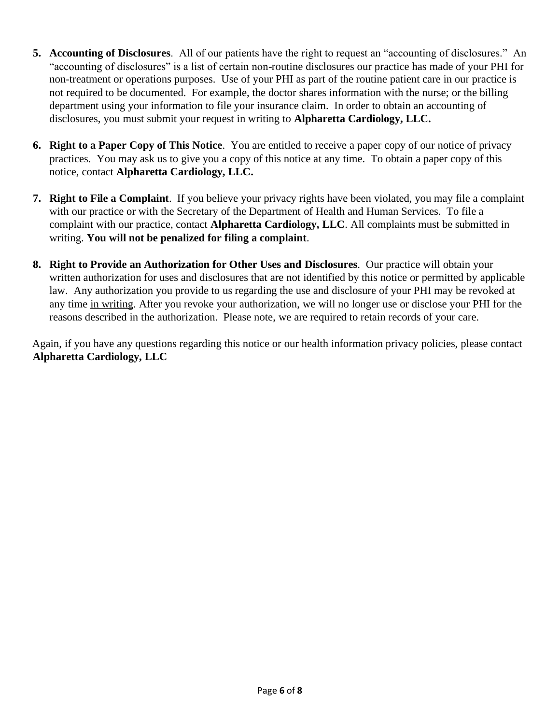- **5. Accounting of Disclosures**. All of our patients have the right to request an "accounting of disclosures." An "accounting of disclosures" is a list of certain non-routine disclosures our practice has made of your PHI for non-treatment or operations purposes. Use of your PHI as part of the routine patient care in our practice is not required to be documented. For example, the doctor shares information with the nurse; or the billing department using your information to file your insurance claim. In order to obtain an accounting of disclosures, you must submit your request in writing to **Alpharetta Cardiology, LLC.**
- **6. Right to a Paper Copy of This Notice**. You are entitled to receive a paper copy of our notice of privacy practices. You may ask us to give you a copy of this notice at any time. To obtain a paper copy of this notice, contact **Alpharetta Cardiology, LLC.**
- **7. Right to File a Complaint**. If you believe your privacy rights have been violated, you may file a complaint with our practice or with the Secretary of the Department of Health and Human Services. To file a complaint with our practice, contact **Alpharetta Cardiology, LLC**. All complaints must be submitted in writing. **You will not be penalized for filing a complaint**.
- **8. Right to Provide an Authorization for Other Uses and Disclosures**. Our practice will obtain your written authorization for uses and disclosures that are not identified by this notice or permitted by applicable law. Any authorization you provide to us regarding the use and disclosure of your PHI may be revoked at any time in writing. After you revoke your authorization, we will no longer use or disclose your PHI for the reasons described in the authorization. Please note, we are required to retain records of your care.

Again, if you have any questions regarding this notice or our health information privacy policies, please contact **Alpharetta Cardiology, LLC**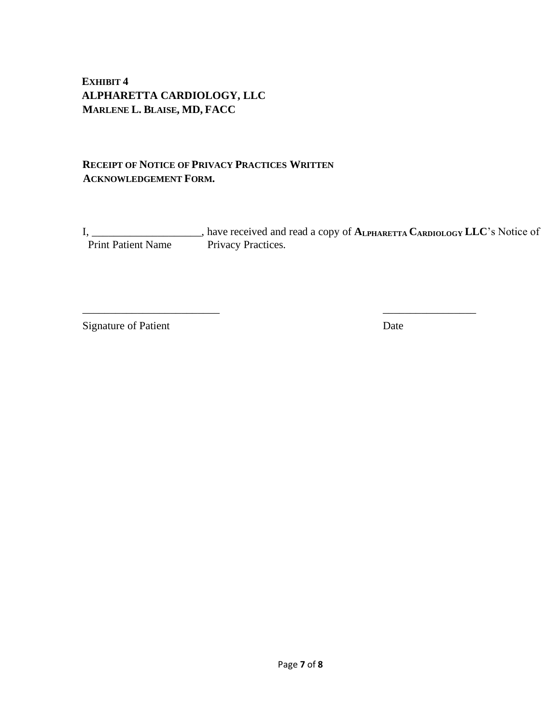# **EXHIBIT 4 ALPHARETTA CARDIOLOGY, LLC MARLENE L. BLAISE, MD, FACC**

## **RECEIPT OF NOTICE OF PRIVACY PRACTICES WRITTEN ACKNOWLEDGEMENT FORM.**

I, \_\_\_\_\_\_\_\_\_\_\_\_\_\_\_\_\_\_\_\_, have received and read a copy of **ALPHARETTA CARDIOLOGY LLC**'s Notice of Print Patient Name Privacy Practices.

 $\overline{\phantom{a}}$  , and the contract of the contract of the contract of the contract of the contract of the contract of the contract of the contract of the contract of the contract of the contract of the contract of the contrac

Signature of Patient Date